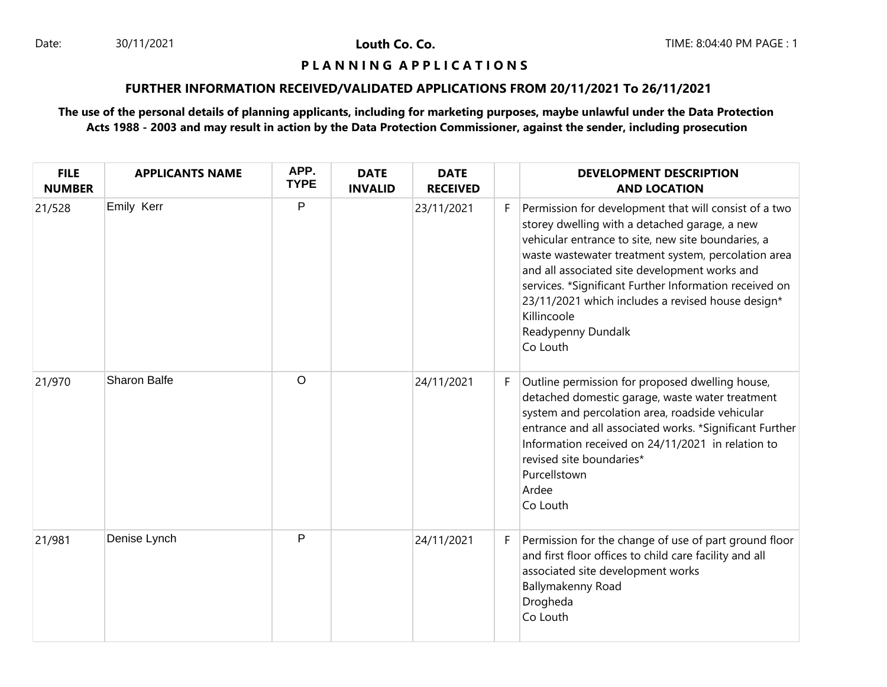Louth Co. Co.

### **P L A N N I N G A P P L I C A T I O N S**

## **FURTHER INFORMATION RECEIVED/VALIDATED APPLICATIONS FROM 20/11/2021 To 26/11/2021**

# **The use of the personal details of planning applicants, including for marketing purposes, maybe unlawful under the Data Protection Acts 1988 - 2003 and may result in action by the Data Protection Commissioner, against the sender, including prosecution**

| <b>FILE</b><br><b>NUMBER</b> | <b>APPLICANTS NAME</b> | APP.<br><b>TYPE</b> | <b>DATE</b><br><b>INVALID</b> | <b>DATE</b><br><b>RECEIVED</b> |    | <b>DEVELOPMENT DESCRIPTION</b><br><b>AND LOCATION</b>                                                                                                                                                                                                                                                                                                                                                                                |
|------------------------------|------------------------|---------------------|-------------------------------|--------------------------------|----|--------------------------------------------------------------------------------------------------------------------------------------------------------------------------------------------------------------------------------------------------------------------------------------------------------------------------------------------------------------------------------------------------------------------------------------|
| 21/528                       | Emily Kerr             | $\mathsf{P}$        |                               | 23/11/2021                     | F. | Permission for development that will consist of a two<br>storey dwelling with a detached garage, a new<br>vehicular entrance to site, new site boundaries, a<br>waste wastewater treatment system, percolation area<br>and all associated site development works and<br>services. *Significant Further Information received on<br>23/11/2021 which includes a revised house design*<br>Killincoole<br>Readypenny Dundalk<br>Co Louth |
| 21/970                       | <b>Sharon Balfe</b>    | $\circ$             |                               | 24/11/2021                     | F. | Outline permission for proposed dwelling house,<br>detached domestic garage, waste water treatment<br>system and percolation area, roadside vehicular<br>entrance and all associated works. *Significant Further<br>Information received on 24/11/2021 in relation to<br>revised site boundaries*<br>Purcellstown<br>Ardee<br>Co Louth                                                                                               |
| 21/981                       | Denise Lynch           | P                   |                               | 24/11/2021                     | F. | Permission for the change of use of part ground floor<br>and first floor offices to child care facility and all<br>associated site development works<br>Ballymakenny Road<br>Drogheda<br>Co Louth                                                                                                                                                                                                                                    |